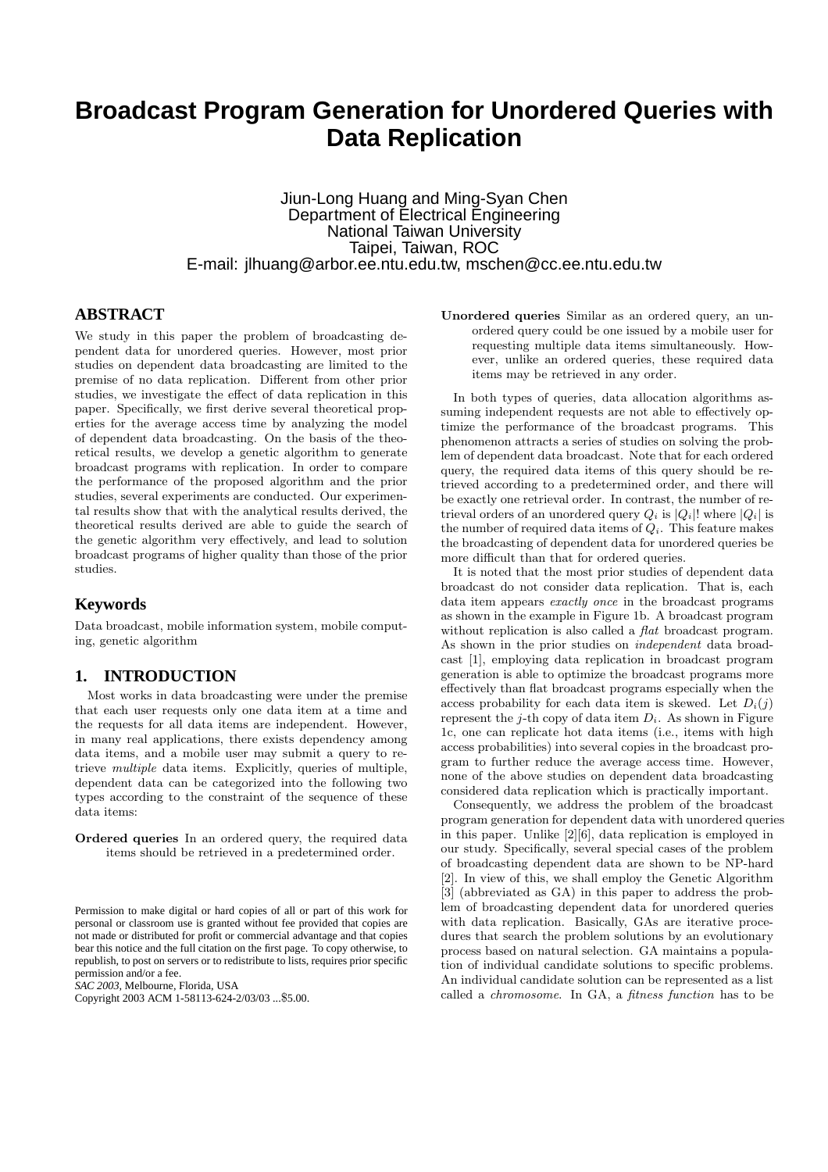# **Broadcast Program Generation for Unordered Queries with Data Replication**

Jiun-Long Huang and Ming-Syan Chen Department of Electrical Engineering National Taiwan University Taipei, Taiwan, ROC E-mail: jlhuang@arbor.ee.ntu.edu.tw, mschen@cc.ee.ntu.edu.tw

# **ABSTRACT**

We study in this paper the problem of broadcasting dependent data for unordered queries. However, most prior studies on dependent data broadcasting are limited to the premise of no data replication. Different from other prior studies, we investigate the effect of data replication in this paper. Specifically, we first derive several theoretical properties for the average access time by analyzing the model of dependent data broadcasting. On the basis of the theoretical results, we develop a genetic algorithm to generate broadcast programs with replication. In order to compare the performance of the proposed algorithm and the prior studies, several experiments are conducted. Our experimental results show that with the analytical results derived, the theoretical results derived are able to guide the search of the genetic algorithm very effectively, and lead to solution broadcast programs of higher quality than those of the prior studies.

#### **Keywords**

Data broadcast, mobile information system, mobile computing, genetic algorithm

# **1. INTRODUCTION**

Most works in data broadcasting were under the premise that each user requests only one data item at a time and the requests for all data items are independent. However, in many real applications, there exists dependency among data items, and a mobile user may submit a query to retrieve multiple data items. Explicitly, queries of multiple, dependent data can be categorized into the following two types according to the constraint of the sequence of these data items:

Ordered queries In an ordered query, the required data items should be retrieved in a predetermined order.

*SAC 2003,* Melbourne, Florida, USA

Copyright 2003 ACM 1-58113-624-2/03/03 ...\$5.00.

Unordered queries Similar as an ordered query, an unordered query could be one issued by a mobile user for requesting multiple data items simultaneously. However, unlike an ordered queries, these required data items may be retrieved in any order.

In both types of queries, data allocation algorithms assuming independent requests are not able to effectively optimize the performance of the broadcast programs. This phenomenon attracts a series of studies on solving the problem of dependent data broadcast. Note that for each ordered query, the required data items of this query should be retrieved according to a predetermined order, and there will be exactly one retrieval order. In contrast, the number of retrieval orders of an unordered query  $Q_i$  is  $|Q_i|!$  where  $|Q_i|$  is the number of required data items of  $Q_i$ . This feature makes the broadcasting of dependent data for unordered queries be more difficult than that for ordered queries.

It is noted that the most prior studies of dependent data broadcast do not consider data replication. That is, each data item appears *exactly once* in the broadcast programs as shown in the example in Figure 1b. A broadcast program without replication is also called a *flat* broadcast program. As shown in the prior studies on independent data broadcast [1], employing data replication in broadcast program generation is able to optimize the broadcast programs more effectively than flat broadcast programs especially when the access probability for each data item is skewed. Let  $D_i(i)$ represent the j-th copy of data item  $D_i$ . As shown in Figure 1c, one can replicate hot data items (i.e., items with high access probabilities) into several copies in the broadcast program to further reduce the average access time. However, none of the above studies on dependent data broadcasting considered data replication which is practically important.

Consequently, we address the problem of the broadcast program generation for dependent data with unordered queries in this paper. Unlike [2][6], data replication is employed in our study. Specifically, several special cases of the problem of broadcasting dependent data are shown to be NP-hard [2]. In view of this, we shall employ the Genetic Algorithm [3] (abbreviated as GA) in this paper to address the problem of broadcasting dependent data for unordered queries with data replication. Basically, GAs are iterative procedures that search the problem solutions by an evolutionary process based on natural selection. GA maintains a population of individual candidate solutions to specific problems. An individual candidate solution can be represented as a list called a chromosome. In GA, a fitness function has to be

Permission to make digital or hard copies of all or part of this work for personal or classroom use is granted without fee provided that copies are not made or distributed for profit or commercial advantage and that copies bear this notice and the full citation on the first page. To copy otherwise, to republish, to post on servers or to redistribute to lists, requires prior specific permission and/or a fee.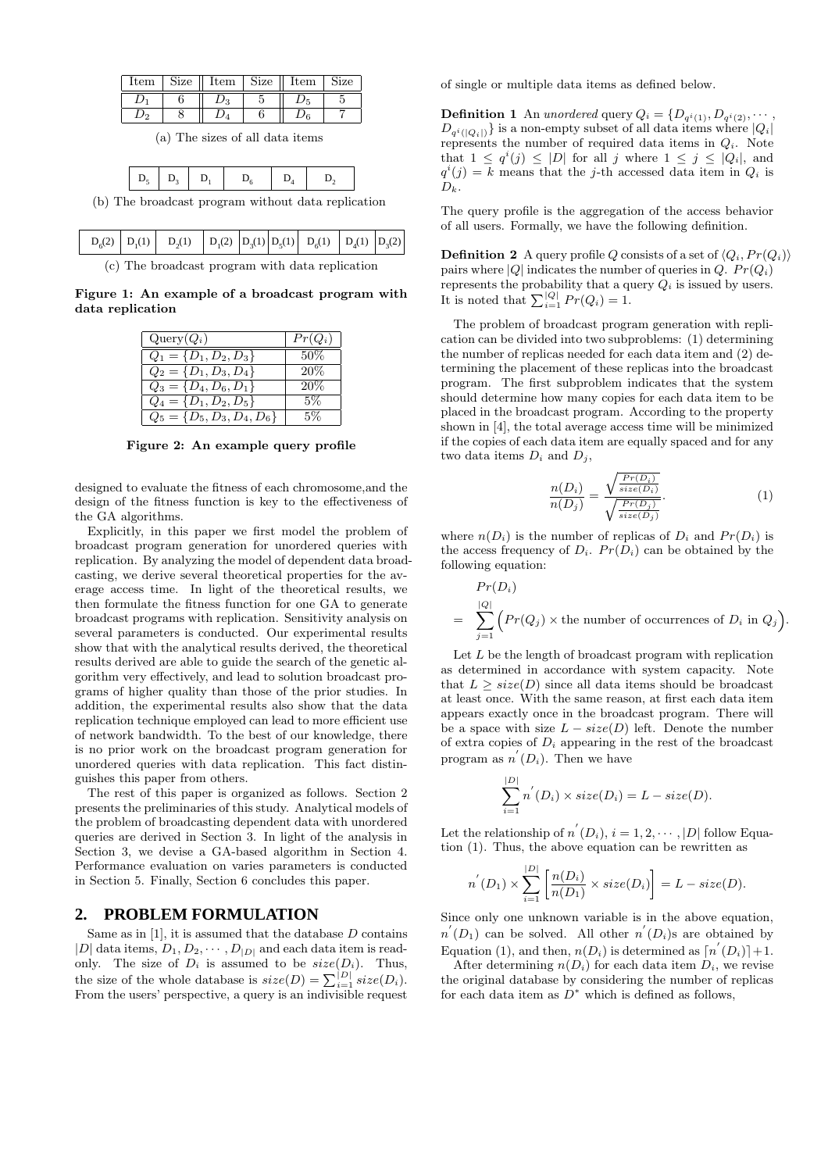| $_{\rm Item}$ | Size | $_{\text{Item}}$ | Size | Item | Size |
|---------------|------|------------------|------|------|------|
|               |      |                  |      |      |      |
|               |      |                  |      |      |      |

(a) The sizes of all data items

|--|--|--|

(b) The broadcast program without data replication

|  | $D_6(2)$ $D_1(1)$ $D_2(1)$ $D_1(2)$ $D_3(1)$ $D_5(1)$ $D_6(1)$ $D_4(1)$ $D_3(2)$ |  |  |  |
|--|----------------------------------------------------------------------------------|--|--|--|
|  |                                                                                  |  |  |  |

(c) The broadcast program with data replication

Figure 1: An example of a broadcast program with data replication

| $Query(Q_i)$                   | $Pr(Q_i)$ |
|--------------------------------|-----------|
| $Q_1 = \{D_1, D_2, D_3\}$      | $50\%$    |
| $Q_2 = \{D_1, D_3, D_4\}$      | 20%       |
| $Q_3 = \{D_4, D_6, D_1\}$      | 20%       |
| $Q_4 = \{D_1, D_2, D_5\}$      | 5%        |
| $Q_5 = \{D_5, D_3, D_4, D_6\}$ | 5%        |

Figure 2: An example query profile

designed to evaluate the fitness of each chromosome,and the design of the fitness function is key to the effectiveness of the GA algorithms.

Explicitly, in this paper we first model the problem of broadcast program generation for unordered queries with replication. By analyzing the model of dependent data broadcasting, we derive several theoretical properties for the average access time. In light of the theoretical results, we then formulate the fitness function for one GA to generate broadcast programs with replication. Sensitivity analysis on several parameters is conducted. Our experimental results show that with the analytical results derived, the theoretical results derived are able to guide the search of the genetic algorithm very effectively, and lead to solution broadcast programs of higher quality than those of the prior studies. In addition, the experimental results also show that the data replication technique employed can lead to more efficient use of network bandwidth. To the best of our knowledge, there is no prior work on the broadcast program generation for unordered queries with data replication. This fact distinguishes this paper from others.

The rest of this paper is organized as follows. Section 2 presents the preliminaries of this study. Analytical models of the problem of broadcasting dependent data with unordered queries are derived in Section 3. In light of the analysis in Section 3, we devise a GA-based algorithm in Section 4. Performance evaluation on varies parameters is conducted in Section 5. Finally, Section 6 concludes this paper.

## **2. PROBLEM FORMULATION**

Same as in  $[1]$ , it is assumed that the database  $D$  contains  $|D|$  data items,  $D_1, D_2, \cdots, D_{|D|}$  and each data item is readonly. The size of  $D_i$  is assumed to be  $size(D_i)$ . Thus, the size of the whole database is  $size(D) = \sum_{i=1}^{|D|} size(D_i)$ . From the users' perspective, a query is an indivisible request of single or multiple data items as defined below.

**Definition 1** An unordered query  $Q_i = \{D_{q^i(1)}, D_{q^i(2)}, \cdots, D_{q^i(q)}\}$  $D_{q^i(|Q_i|)}$ } is a non-empty subset of all data items where  $|Q_i|$ represents the number of required data items in  $Q_i$ . Note that  $1 \leq q^{i}(j) \leq |D|$  for all j where  $1 \leq j \leq |Q_{i}|$ , and  $q^{i}(j) = k$  means that the j-th accessed data item in  $Q_{i}$  is  $D_{k}$ .

The query profile is the aggregation of the access behavior of all users. Formally, we have the following definition.

**Definition 2** A query profile Q consists of a set of  $\langle Q_i, Pr(Q_i) \rangle$ pairs where |Q| indicates the number of queries in  $Q$ .  $Pr(Q_i)$ represents the probability that a query  $Q_i$  is issued by users. It is noted that  $\sum_{i=1}^{|Q|} Pr(Q_i) = 1$ .

The problem of broadcast program generation with replication can be divided into two subproblems: (1) determining the number of replicas needed for each data item and (2) determining the placement of these replicas into the broadcast program. The first subproblem indicates that the system should determine how many copies for each data item to be placed in the broadcast program. According to the property shown in [4], the total average access time will be minimized if the copies of each data item are equally spaced and for any two data items  $D_i$  and  $D_j$ ,

$$
\frac{n(D_i)}{n(D_j)} = \frac{\sqrt{\frac{Pr(D_i)}{size(D_i)}}}{\sqrt{\frac{Pr(D_j)}{size(D_j)}}}.\tag{1}
$$

where  $n(D_i)$  is the number of replicas of  $D_i$  and  $Pr(D_i)$  is the access frequency of  $D_i$ .  $Pr(D_i)$  can be obtained by the following equation:

$$
Pr(D_i)
$$
  
=  $\sum_{j=1}^{|Q|} (Pr(Q_j) \times \text{the number of occurrences of } D_i \text{ in } Q_j).$ 

Let  $L$  be the length of broadcast program with replication as determined in accordance with system capacity. Note that  $L > size(D)$  since all data items should be broadcast at least once. With the same reason, at first each data item appears exactly once in the broadcast program. There will be a space with size  $L - size(D)$  left. Denote the number of extra copies of  $D_i$  appearing in the rest of the broadcast program as  $n'(D_i)$ . Then we have

$$
\sum_{i=1}^{|D|} n^{'}(D_i) \times size(D_i) = L - size(D).
$$

Let the relationship of  $n^{'}(D_i)$ ,  $i = 1, 2, \cdots, |D|$  follow Equation (1). Thus, the above equation can be rewritten as

$$
n^{'}(D_1) \times \sum_{i=1}^{|D|} \left[ \frac{n(D_i)}{n(D_1)} \times size(D_i) \right] = L - size(D).
$$

Since only one unknown variable is in the above equation,  $n'(D_1)$  can be solved. All other  $n'(D_i)$ s are obtained by Equation (1), and then,  $n(D_i)$  is determined as  $\lceil n'(D_i) \rceil + 1$ .

After determining  $n(D_i)$  for each data item  $D_i$ , we revise the original database by considering the number of replicas for each data item as  $\overline{D}^*$  which is defined as follows,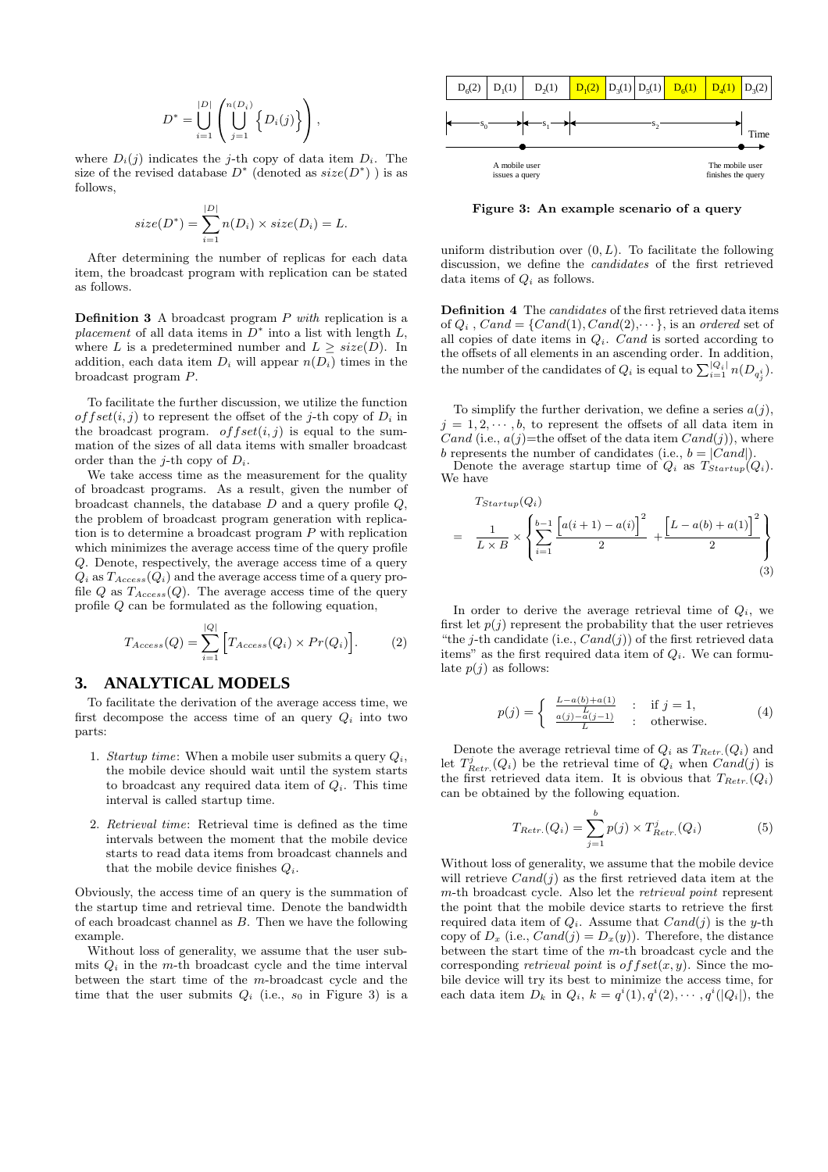$$
D^* = \bigcup_{i=1}^{|D|} \left( \bigcup_{j=1}^{n(D_i)} \left\{ D_i(j) \right\} \right),
$$

where  $D_i(j)$  indicates the j-th copy of data item  $D_i$ . The size of the revised database  $D^*$  (denoted as  $size(D^*)$ ) is as follows,

$$
size(D^*) = \sum_{i=1}^{|D|} n(D_i) \times size(D_i) = L.
$$

After determining the number of replicas for each data item, the broadcast program with replication can be stated as follows.

**Definition 3** A broadcast program  $P$  with replication is a placement of all data items in  $D^*$  into a list with length  $L$ , where L is a predetermined number and  $L > size(D)$ . In addition, each data item  $D_i$  will appear  $n(D_i)$  times in the broadcast program P.

To facilitate the further discussion, we utilize the function of fset $(i, j)$  to represent the offset of the j-th copy of  $D_i$  in the broadcast program.  $offset(i, j)$  is equal to the summation of the sizes of all data items with smaller broadcast order than the *j*-th copy of  $D_i$ .

We take access time as the measurement for the quality of broadcast programs. As a result, given the number of broadcast channels, the database  $D$  and a query profile  $Q$ , the problem of broadcast program generation with replication is to determine a broadcast program P with replication which minimizes the average access time of the query profile Q. Denote, respectively, the average access time of a query  $Q_i$  as  $T_{Access}(Q_i)$  and the average access time of a query profile Q as  $T_{Access}(Q)$ . The average access time of the query profile Q can be formulated as the following equation,

$$
T_{Access}(Q) = \sum_{i=1}^{|Q|} \left[ T_{Access}(Q_i) \times Pr(Q_i) \right]. \tag{2}
$$

## **3. ANALYTICAL MODELS**

To facilitate the derivation of the average access time, we first decompose the access time of an query  $Q_i$  into two parts:

- 1. Startup time: When a mobile user submits a query  $Q_i$ , the mobile device should wait until the system starts to broadcast any required data item of  $Q_i$ . This time interval is called startup time.
- 2. Retrieval time: Retrieval time is defined as the time intervals between the moment that the mobile device starts to read data items from broadcast channels and that the mobile device finishes  $Q_i$ .

Obviously, the access time of an query is the summation of the startup time and retrieval time. Denote the bandwidth of each broadcast channel as  $B$ . Then we have the following example.

Without loss of generality, we assume that the user submits  $Q_i$  in the m-th broadcast cycle and the time interval between the start time of the m-broadcast cycle and the time that the user submits  $Q_i$  (i.e.,  $s_0$  in Figure 3) is a



Figure 3: An example scenario of a query

uniform distribution over  $(0, L)$ . To facilitate the following discussion, we define the candidates of the first retrieved data items of  $Q_i$  as follows.

Definition 4 The candidates of the first retrieved data items of  $Q_i$ ,  $Cand = \{Cand(1), Cand(2), \dots\}$ , is an ordered set of all copies of date items in  $Q_i$ . Cand is sorted according to the offsets of all elements in an ascending order. In addition, the number of the candidates of  $Q_i$  is equal to  $\sum_{i=1}^{|Q_i|} n(D_{q_i^i}).$ 

To simplify the further derivation, we define a series  $a(j)$ ,  $j = 1, 2, \dots, b$ , to represent the offsets of all data item in Cand (i.e.,  $a(j)$ =the offset of the data item  $Cand(j)$ ), where b represents the number of candidates (i.e.,  $b = |Cand|$ ).

Denote the average startup time of  $Q_i$  as  $T_{Startup} (Q_i)$ . We have

$$
T_{Startup}(Q_i)
$$
\n
$$
= \frac{1}{L \times B} \times \left\{ \sum_{i=1}^{b-1} \frac{\left[ a(i+1) - a(i) \right]^2}{2} + \frac{\left[ L - a(b) + a(1) \right]^2}{2} \right\}
$$
\n(3)

In order to derive the average retrieval time of  $Q_i$ , we first let  $p(i)$  represent the probability that the user retrieves "the j-th candidate (i.e.,  $Cand(j)$ ) of the first retrieved data items" as the first required data item of  $Q_i$ . We can formulate  $p(i)$  as follows:

$$
p(j) = \begin{cases} \frac{L - a(b) + a(1)}{L} & : \text{if } j = 1, \\ \frac{a(j) - a(j-1)}{L} & : \text{otherwise.} \end{cases}
$$
(4)

Denote the average retrieval time of  $Q_i$  as  $T_{Retr.}(Q_i)$  and let  $T_{Retr.}^{j}(Q_i)$  be the retrieval time of  $Q_i$  when  $Cand(j)$  is the first retrieved data item. It is obvious that  $T_{Retr.}(Q_i)$ can be obtained by the following equation.

$$
T_{Retr.}(Q_i) = \sum_{j=1}^{b} p(j) \times T_{Retr.}^{j}(Q_i)
$$
 (5)

Without loss of generality, we assume that the mobile device will retrieve  $Cand(i)$  as the first retrieved data item at the m-th broadcast cycle. Also let the retrieval point represent the point that the mobile device starts to retrieve the first required data item of  $Q_i$ . Assume that  $Cand(j)$  is the y-th copy of  $D_x$  (i.e.,  $Cand(j) = D_x(y)$ ). Therefore, the distance between the start time of the m-th broadcast cycle and the corresponding *retrieval point* is  $offset(x, y)$ . Since the mobile device will try its best to minimize the access time, for each data item  $D_k$  in  $Q_i$ ,  $k = q^i(1), q^i(2), \cdots, q^i(|Q_i|)$ , the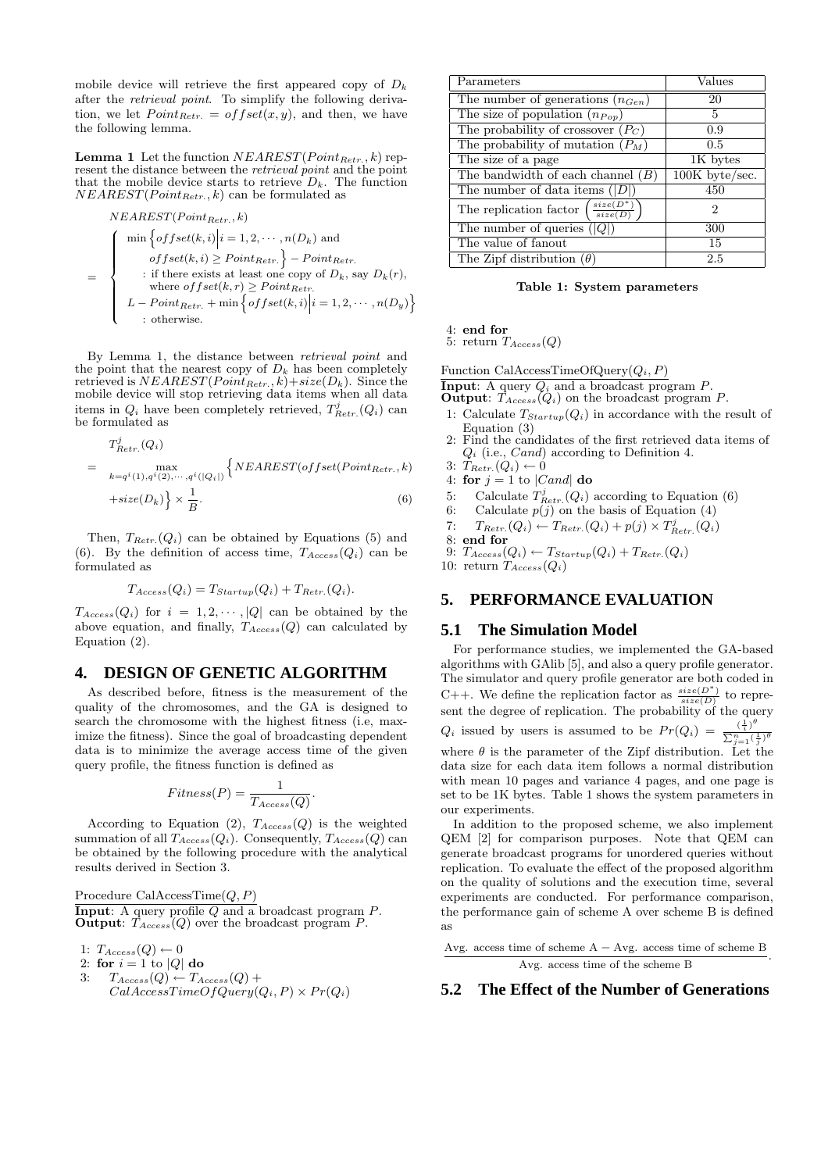mobile device will retrieve the first appeared copy of  $D_k$ after the retrieval point. To simplify the following derivation, we let  $Point_{Retr.} = offset(x, y)$ , and then, we have the following lemma.

**Lemma 1** Let the function  $NEAREST(Point_{Retr.}, k)$  represent the distance between the *retrieval point* and the point that the mobile device starts to retrieve  $D_k$ . The function  $NEAREST(Point_{Retr.}, k)$  can be formulated as

$$
NEAREST(Point_{Retr.}, k)
$$
\n
$$
= \begin{cases}\n\min \left\{ offset(k, i) \middle| i = 1, 2, \cdots, n(D_k) \text{ and } \right. \\
\text{of } fset(k, i) \ge Point_{Retr.} \right\} - Point_{Retr.} \\
\text{: if there exists at least one copy of } D_k, \text{ say } D_k(r), \\
\text{where } offset(k, r) \ge Point_{Retr.} \\
L - Point_{Retr.} + \min \left\{ offset(k, i) \middle| i = 1, 2, \cdots, n(D_y) \right\} \\
\text{: otherwise.}\n\end{cases}
$$

By Lemma 1, the distance between retrieval point and the point that the nearest copy of  $D_k$  has been completely retrieved is  $NEAREST(Point_{Retr.}, k) + size(D_k)$ . Since the mobile device will stop retrieving data items when all data items in  $Q_i$  have been completely retrieved,  $T_{Retr.}^j(Q_i)$  can be formulated as

$$
T_{Retr.}^{j}(Q_i)
$$
  
= 
$$
\max_{k=q^{i}(1),q^{i}(2),\cdots,q^{i}(|Q_i|)} \left\{ NEAREST(offset(Point_{Retr.},k) + size(D_k) \right\} \times \frac{1}{B}.
$$
 (6)

Then,  $T_{Retr.}(Q_i)$  can be obtained by Equations (5) and (6). By the definition of access time,  $T_{Access}(Q_i)$  can be formulated as

$$
T_{Access}(Q_i) = T_{Startup}(Q_i) + T_{Retr.}(Q_i).
$$

 $T_{Access}(Q_i)$  for  $i = 1, 2, \dots, |Q|$  can be obtained by the above equation, and finally,  $T_{Access}(Q)$  can calculated by Equation (2).

## **4. DESIGN OF GENETIC ALGORITHM**

As described before, fitness is the measurement of the quality of the chromosomes, and the GA is designed to search the chromosome with the highest fitness (i.e, maximize the fitness). Since the goal of broadcasting dependent data is to minimize the average access time of the given query profile, the fitness function is defined as

$$
Fitness(P) = \frac{1}{T_{Access}(Q)}.
$$

According to Equation (2),  $T_{Access}(Q)$  is the weighted summation of all  $T_{Access}(Q_i)$ . Consequently,  $T_{Access}(Q)$  can be obtained by the following procedure with the analytical results derived in Section 3.

Procedure CalAccessTime $(Q, P)$ **Input:** A query profile  $Q$  and a broadcast program  $P$ . **Output:**  $T_{Access}(Q)$  over the broadcast program P.

1:  $T_{Access}(Q) \leftarrow 0$ 

- 2: for  $i = 1$  to |Q| do
- 3:  $T_{Access}(Q) \leftarrow T_{Access}(Q) +$  $CalAccessTimeOfQuery(Q_i, P) \times Pr(Q_i)$

| Parameters                                                    | $\rm Values$   |
|---------------------------------------------------------------|----------------|
| The number of generations $(n_{Gen})$                         | 20             |
| The size of population $(n_{Pon})$                            | 5              |
| The probability of crossover $(P_C)$                          | 0.9            |
| The probability of mutation $(P_M)$                           | 0.5            |
| The size of a page                                            | 1K bytes       |
| The bandwidth of each channel $(B)$                           | 100K byte/sec. |
| The number of data items $( D )$                              | 450            |
| $size(D^*)$<br>The replication factor<br>$\overline{size(D)}$ | 2              |
| The number of queries $( Q )$                                 | 300            |
| The value of fanout                                           | 15             |
| The Zipf distribution $(\theta)$                              | 2.5            |

Table 1: System parameters

4: end for

5: return  $T_{Access}(Q)$ 

Function CalAccessTimeOfQuery $(Q_i, P)$ 

**Input:** A query  $Q_i$  and a broadcast program  $P$ .

**Output:**  $\hat{T}_{Access}(Q_i)$  on the broadcast program P.

- 1: Calculate  $T_{Startup}(Q_i)$  in accordance with the result of Equation (3)
- 2: Find the candidates of the first retrieved data items of  $Q_i$  (i.e.,  $Cand$ ) according to Definition 4.
- 3:  $T_{Retr.}(Q_i) \leftarrow 0$
- 4: for  $j = 1$  to  $|Cand|$  do
- 5: Calculate  $T_{Retr.}^{j}(Q_i)$  according to Equation (6)
- 6: Calculate  $p(j)$  on the basis of Equation (4)

7:  $T_{Retr.}(Q_i) \leftarrow T_{Retr.}(Q_i) + p(j) \times T_{Retr.}^j(Q_i)$ 8: end for

9:  $T_{Access}(Q_i) \leftarrow T_{Startup}(Q_i) + T_{Retr.}(Q_i)$ 10: return  $T_{Access}(Q_i)$ 

# **5. PERFORMANCE EVALUATION**

#### **5.1 The Simulation Model**

For performance studies, we implemented the GA-based algorithms with GAlib [5], and also a query profile generator. The simulator and query profile generator are both coded in C++. We define the replication factor as  $\frac{size(D^*)}{size(D)}$  to represent the degree of replication. The probability of the query  $Q_1$  issued by users is assumed to be  $P_{\mathcal{P}}(Q_1)$  $Q_i$  issued by users is assumed to be  $Pr(Q_i) = \frac{(\frac{1}{i})^{\theta}}{\sum_{i=1}^{n} (1 - \frac{1}{i})^i}$  $\sum_{j=1}^n (\frac{1}{j})^{\theta}$ where  $\theta$  is the parameter of the Zipf distribution. Let the data size for each data item follows a normal distribution with mean 10 pages and variance 4 pages, and one page is set to be 1K bytes. Table 1 shows the system parameters in our experiments.

In addition to the proposed scheme, we also implement QEM [2] for comparison purposes. Note that QEM can generate broadcast programs for unordered queries without replication. To evaluate the effect of the proposed algorithm on the quality of solutions and the execution time, several experiments are conducted. For performance comparison, the performance gain of scheme A over scheme B is defined as

Avg. access time of scheme A − Avg. access time of scheme B Avg. access time of the scheme B .

#### **5.2 The Effect of the Number of Generations**